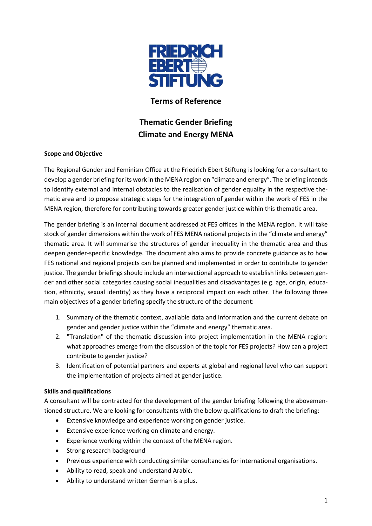

# **Terms of Reference**

# **Thematic Gender Briefing Climate and Energy MENA**

## **Scope and Objective**

The Regional Gender and Feminism Office at the Friedrich Ebert Stiftung is looking for a consultant to develop a gender briefing for its work in the MENA region on "climate and energy". The briefing intends to identify external and internal obstacles to the realisation of gender equality in the respective thematic area and to propose strategic steps for the integration of gender within the work of FES in the MENA region, therefore for contributing towards greater gender justice within this thematic area.

The gender briefing is an internal document addressed at FES offices in the MENA region. It will take stock of gender dimensions within the work of FES MENA national projectsin the "climate and energy" thematic area. It will summarise the structures of gender inequality in the thematic area and thus deepen gender-specific knowledge. The document also aims to provide concrete guidance as to how FES national and regional projects can be planned and implemented in order to contribute to gender justice. The gender briefings should include an intersectional approach to establish links between gender and other social categories causing social inequalities and disadvantages (e.g. age, origin, education, ethnicity, sexual identity) as they have a reciprocal impact on each other. The following three main objectives of a gender briefing specify the structure of the document:

- 1. Summary of the thematic context, available data and information and the current debate on gender and gender justice within the "climate and energy" thematic area.
- 2. "Translation" of the thematic discussion into project implementation in the MENA region: what approaches emerge from the discussion of the topic for FES projects? How can a project contribute to gender justice?
- 3. Identification of potential partners and experts at global and regional level who can support the implementation of projects aimed at gender justice.

## **Skills and qualifications**

A consultant will be contracted for the development of the gender briefing following the abovementioned structure. We are looking for consultants with the below qualifications to draft the briefing:

- Extensive knowledge and experience working on gender justice.
- Extensive experience working on climate and energy.
- Experience working within the context of the MENA region.
- Strong research background
- Previous experience with conducting similar consultancies for international organisations.
- Ability to read, speak and understand Arabic.
- Ability to understand written German is a plus.